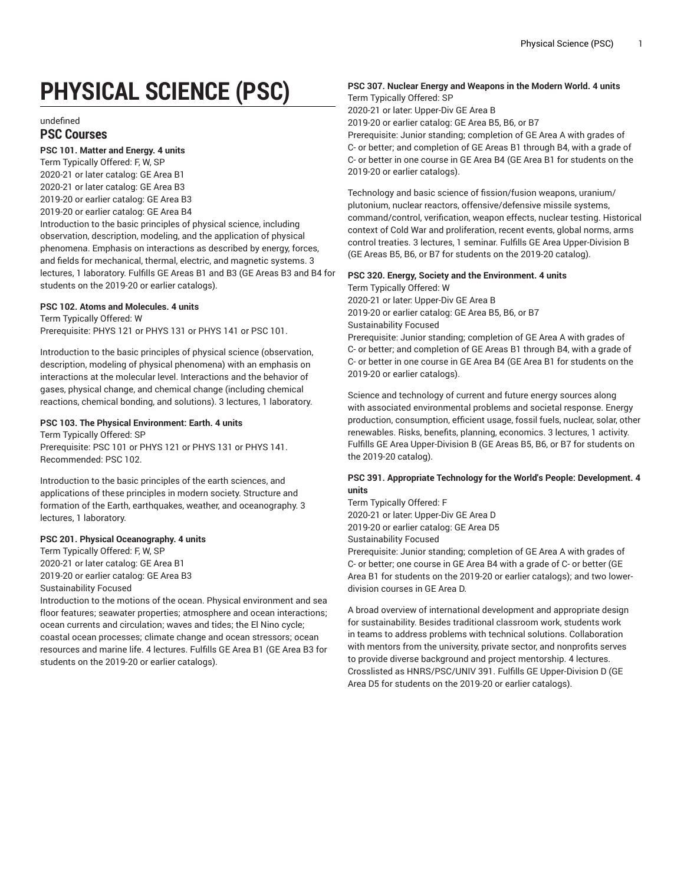# **PHYSICAL SCIENCE (PSC)**

undefined

## **PSC Courses**

## **PSC 101. Matter and Energy. 4 units**

Term Typically Offered: F, W, SP 2020-21 or later catalog: GE Area B1 2020-21 or later catalog: GE Area B3 2019-20 or earlier catalog: GE Area B3 2019-20 or earlier catalog: GE Area B4

Introduction to the basic principles of physical science, including observation, description, modeling, and the application of physical phenomena. Emphasis on interactions as described by energy, forces, and fields for mechanical, thermal, electric, and magnetic systems. 3 lectures, 1 laboratory. Fulfills GE Areas B1 and B3 (GE Areas B3 and B4 for students on the 2019-20 or earlier catalogs).

## **PSC 102. Atoms and Molecules. 4 units**

Term Typically Offered: W Prerequisite: PHYS 121 or PHYS 131 or PHYS 141 or PSC 101.

Introduction to the basic principles of physical science (observation, description, modeling of physical phenomena) with an emphasis on interactions at the molecular level. Interactions and the behavior of gases, physical change, and chemical change (including chemical reactions, chemical bonding, and solutions). 3 lectures, 1 laboratory.

## **PSC 103. The Physical Environment: Earth. 4 units**

Term Typically Offered: SP Prerequisite: PSC 101 or PHYS 121 or PHYS 131 or PHYS 141. Recommended: PSC 102.

Introduction to the basic principles of the earth sciences, and applications of these principles in modern society. Structure and formation of the Earth, earthquakes, weather, and oceanography. 3 lectures, 1 laboratory.

#### **PSC 201. Physical Oceanography. 4 units**

Term Typically Offered: F, W, SP 2020-21 or later catalog: GE Area B1 2019-20 or earlier catalog: GE Area B3 Sustainability Focused

Introduction to the motions of the ocean. Physical environment and sea floor features; seawater properties; atmosphere and ocean interactions; ocean currents and circulation; waves and tides; the El Nino cycle; coastal ocean processes; climate change and ocean stressors; ocean resources and marine life. 4 lectures. Fulfills GE Area B1 (GE Area B3 for students on the 2019-20 or earlier catalogs).

# **PSC 307. Nuclear Energy and Weapons in the Modern World. 4 units**

Term Typically Offered: SP

2020-21 or later: Upper-Div GE Area B

2019-20 or earlier catalog: GE Area B5, B6, or B7

Prerequisite: Junior standing; completion of GE Area A with grades of C- or better; and completion of GE Areas B1 through B4, with a grade of C- or better in one course in GE Area B4 (GE Area B1 for students on the 2019-20 or earlier catalogs).

Technology and basic science of fission/fusion weapons, uranium/ plutonium, nuclear reactors, offensive/defensive missile systems, command/control, verification, weapon effects, nuclear testing. Historical context of Cold War and proliferation, recent events, global norms, arms control treaties. 3 lectures, 1 seminar. Fulfills GE Area Upper-Division B (GE Areas B5, B6, or B7 for students on the 2019-20 catalog).

## **PSC 320. Energy, Society and the Environment. 4 units**

Term Typically Offered: W 2020-21 or later: Upper-Div GE Area B 2019-20 or earlier catalog: GE Area B5, B6, or B7 Sustainability Focused Prerequisite: Junior standing; completion of GE Area A with grades of C- or better; and completion of GE Areas B1 through B4, with a grade of C- or better in one course in GE Area B4 (GE Area B1 for students on the 2019-20 or earlier catalogs).

Science and technology of current and future energy sources along with associated environmental problems and societal response. Energy production, consumption, efficient usage, fossil fuels, nuclear, solar, other renewables. Risks, benefits, planning, economics. 3 lectures, 1 activity. Fulfills GE Area Upper-Division B (GE Areas B5, B6, or B7 for students on the 2019-20 catalog).

## **PSC 391. Appropriate Technology for the World's People: Development. 4 units**

Term Typically Offered: F 2020-21 or later: Upper-Div GE Area D 2019-20 or earlier catalog: GE Area D5

Sustainability Focused Prerequisite: Junior standing; completion of GE Area A with grades of

C- or better; one course in GE Area B4 with a grade of C- or better (GE Area B1 for students on the 2019-20 or earlier catalogs); and two lowerdivision courses in GE Area D.

A broad overview of international development and appropriate design for sustainability. Besides traditional classroom work, students work in teams to address problems with technical solutions. Collaboration with mentors from the university, private sector, and nonprofits serves to provide diverse background and project mentorship. 4 lectures. Crosslisted as HNRS/PSC/UNIV 391. Fulfills GE Upper-Division D (GE Area D5 for students on the 2019-20 or earlier catalogs).